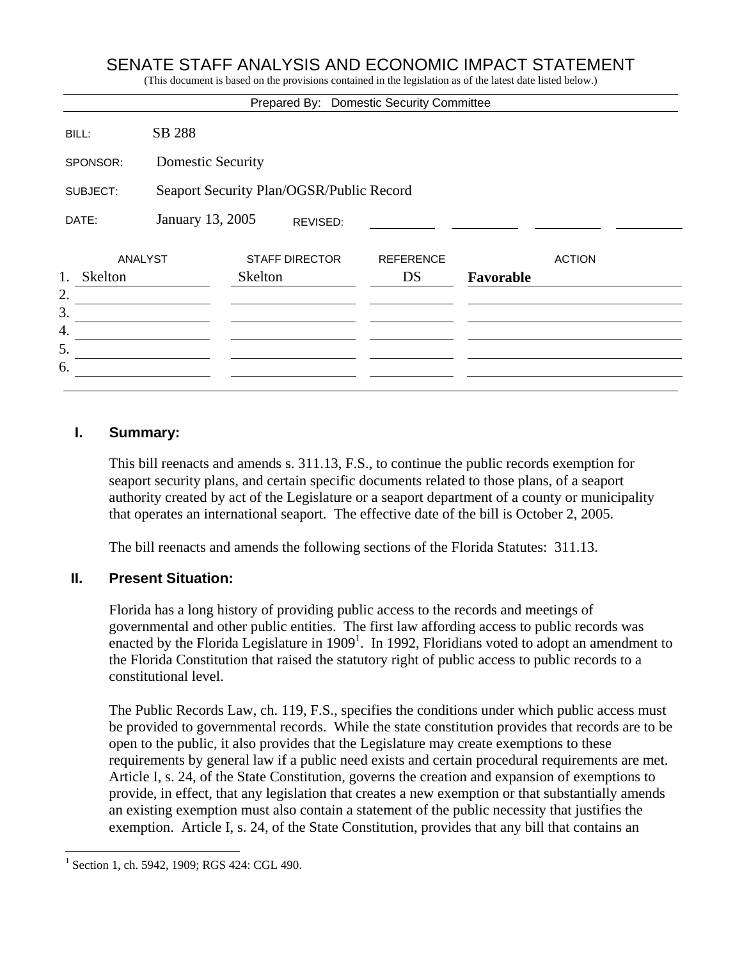## SENATE STAFF ANALYSIS AND ECONOMIC IMPACT STATEMENT

(This document is based on the provisions contained in the legislation as of the latest date listed below.)

|                |                                          |                       |  | Prepared By: Domestic Security Committee |           |               |
|----------------|------------------------------------------|-----------------------|--|------------------------------------------|-----------|---------------|
| BILL:          | SB 288                                   |                       |  |                                          |           |               |
| SPONSOR:       | <b>Domestic Security</b>                 |                       |  |                                          |           |               |
| SUBJECT:       | Seaport Security Plan/OGSR/Public Record |                       |  |                                          |           |               |
| DATE:          | January 13, 2005<br>REVISED:             |                       |  |                                          |           |               |
| <b>ANALYST</b> |                                          | <b>STAFF DIRECTOR</b> |  | <b>REFERENCE</b>                         |           | <b>ACTION</b> |
| 1.<br>Skelton  |                                          | Skelton               |  | DS                                       | Favorable |               |
| 2.             |                                          |                       |  |                                          |           |               |
| 3.             |                                          |                       |  |                                          |           |               |
| 4.             |                                          |                       |  |                                          |           |               |
| 5.             |                                          |                       |  |                                          |           |               |
| 6.             |                                          |                       |  |                                          |           |               |
|                |                                          |                       |  |                                          |           |               |

#### **I. Summary:**

This bill reenacts and amends s. 311.13, F.S., to continue the public records exemption for seaport security plans, and certain specific documents related to those plans, of a seaport authority created by act of the Legislature or a seaport department of a county or municipality that operates an international seaport. The effective date of the bill is October 2, 2005.

The bill reenacts and amends the following sections of the Florida Statutes: 311.13.

#### **II. Present Situation:**

Florida has a long history of providing public access to the records and meetings of governmental and other public entities. The first law affording access to public records was enacted by the Florida Legislature in  $1909<sup>1</sup>$ . In 1992, Floridians voted to adopt an amendment to the Florida Constitution that raised the statutory right of public access to public records to a constitutional level.

The Public Records Law, ch. 119, F.S., specifies the conditions under which public access must be provided to governmental records. While the state constitution provides that records are to be open to the public, it also provides that the Legislature may create exemptions to these requirements by general law if a public need exists and certain procedural requirements are met. Article I, s. 24, of the State Constitution, governs the creation and expansion of exemptions to provide, in effect, that any legislation that creates a new exemption or that substantially amends an existing exemption must also contain a statement of the public necessity that justifies the exemption. Article I, s. 24, of the State Constitution, provides that any bill that contains an

 $\overline{a}$ 

<sup>1</sup> Section 1, ch. 5942, 1909; RGS 424: CGL 490.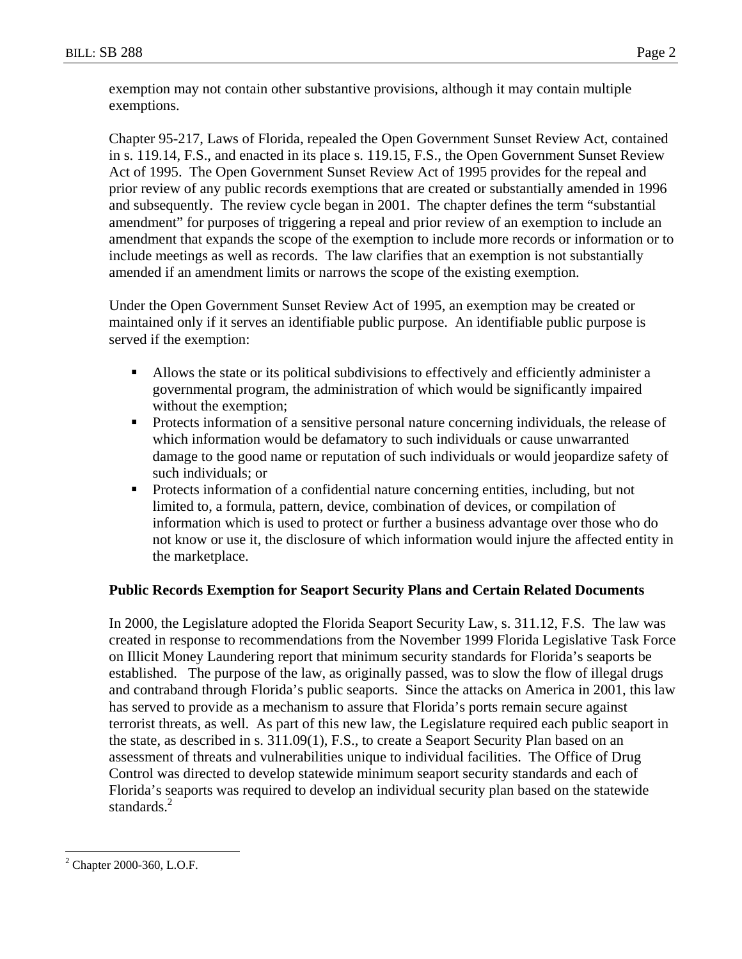exemption may not contain other substantive provisions, although it may contain multiple exemptions.

Chapter 95-217, Laws of Florida, repealed the Open Government Sunset Review Act, contained in s. 119.14, F.S., and enacted in its place s. 119.15, F.S., the Open Government Sunset Review Act of 1995. The Open Government Sunset Review Act of 1995 provides for the repeal and prior review of any public records exemptions that are created or substantially amended in 1996 and subsequently. The review cycle began in 2001. The chapter defines the term "substantial amendment" for purposes of triggering a repeal and prior review of an exemption to include an amendment that expands the scope of the exemption to include more records or information or to include meetings as well as records. The law clarifies that an exemption is not substantially amended if an amendment limits or narrows the scope of the existing exemption.

Under the Open Government Sunset Review Act of 1995, an exemption may be created or maintained only if it serves an identifiable public purpose. An identifiable public purpose is served if the exemption:

- Allows the state or its political subdivisions to effectively and efficiently administer a governmental program, the administration of which would be significantly impaired without the exemption;
- **Protects information of a sensitive personal nature concerning individuals, the release of** which information would be defamatory to such individuals or cause unwarranted damage to the good name or reputation of such individuals or would jeopardize safety of such individuals; or
- **Protects information of a confidential nature concerning entities, including, but not** limited to, a formula, pattern, device, combination of devices, or compilation of information which is used to protect or further a business advantage over those who do not know or use it, the disclosure of which information would injure the affected entity in the marketplace.

#### **Public Records Exemption for Seaport Security Plans and Certain Related Documents**

In 2000, the Legislature adopted the Florida Seaport Security Law, s. 311.12, F.S. The law was created in response to recommendations from the November 1999 Florida Legislative Task Force on Illicit Money Laundering report that minimum security standards for Florida's seaports be established. The purpose of the law, as originally passed, was to slow the flow of illegal drugs and contraband through Florida's public seaports. Since the attacks on America in 2001, this law has served to provide as a mechanism to assure that Florida's ports remain secure against terrorist threats, as well. As part of this new law, the Legislature required each public seaport in the state, as described in s. 311.09(1), F.S., to create a Seaport Security Plan based on an assessment of threats and vulnerabilities unique to individual facilities. The Office of Drug Control was directed to develop statewide minimum seaport security standards and each of Florida's seaports was required to develop an individual security plan based on the statewide standards. $^{2}$ 

 $\overline{a}$ 

<sup>2</sup> Chapter 2000-360, L.O.F.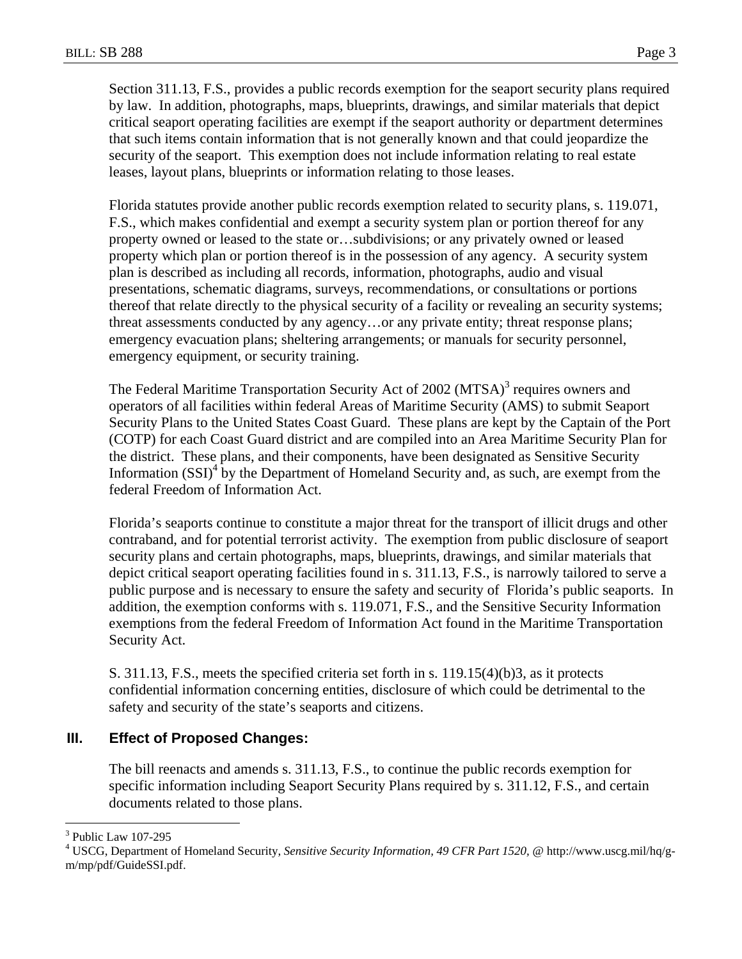Section 311.13, F.S., provides a public records exemption for the seaport security plans required by law. In addition, photographs, maps, blueprints, drawings, and similar materials that depict critical seaport operating facilities are exempt if the seaport authority or department determines that such items contain information that is not generally known and that could jeopardize the security of the seaport. This exemption does not include information relating to real estate leases, layout plans, blueprints or information relating to those leases.

Florida statutes provide another public records exemption related to security plans, s. 119.071, F.S., which makes confidential and exempt a security system plan or portion thereof for any property owned or leased to the state or…subdivisions; or any privately owned or leased property which plan or portion thereof is in the possession of any agency. A security system plan is described as including all records, information, photographs, audio and visual presentations, schematic diagrams, surveys, recommendations, or consultations or portions thereof that relate directly to the physical security of a facility or revealing an security systems; threat assessments conducted by any agency…or any private entity; threat response plans; emergency evacuation plans; sheltering arrangements; or manuals for security personnel, emergency equipment, or security training.

The Federal Maritime Transportation Security Act of 2002 (MTSA)<sup>3</sup> requires owners and operators of all facilities within federal Areas of Maritime Security (AMS) to submit Seaport Security Plans to the United States Coast Guard. These plans are kept by the Captain of the Port (COTP) for each Coast Guard district and are compiled into an Area Maritime Security Plan for the district. These plans, and their components, have been designated as Sensitive Security Information  $(SSI)^4$  by the Department of Homeland Security and, as such, are exempt from the federal Freedom of Information Act.

Florida's seaports continue to constitute a major threat for the transport of illicit drugs and other contraband, and for potential terrorist activity. The exemption from public disclosure of seaport security plans and certain photographs, maps, blueprints, drawings, and similar materials that depict critical seaport operating facilities found in s. 311.13, F.S., is narrowly tailored to serve a public purpose and is necessary to ensure the safety and security of Florida's public seaports. In addition, the exemption conforms with s. 119.071, F.S., and the Sensitive Security Information exemptions from the federal Freedom of Information Act found in the Maritime Transportation Security Act.

S. 311.13, F.S., meets the specified criteria set forth in s. 119.15(4)(b)3, as it protects confidential information concerning entities, disclosure of which could be detrimental to the safety and security of the state's seaports and citizens.

#### **III. Effect of Proposed Changes:**

The bill reenacts and amends s. 311.13, F.S., to continue the public records exemption for specific information including Seaport Security Plans required by s. 311.12, F.S., and certain documents related to those plans.

<sup>1</sup> 3 Public Law 107-295

<sup>&</sup>lt;sup>4</sup> USCG, Department of Homeland Security, Sensitive Security Information, 49 CFR Part 1520, @ http://www.uscg.mil/hq/gm/mp/pdf/GuideSSI.pdf.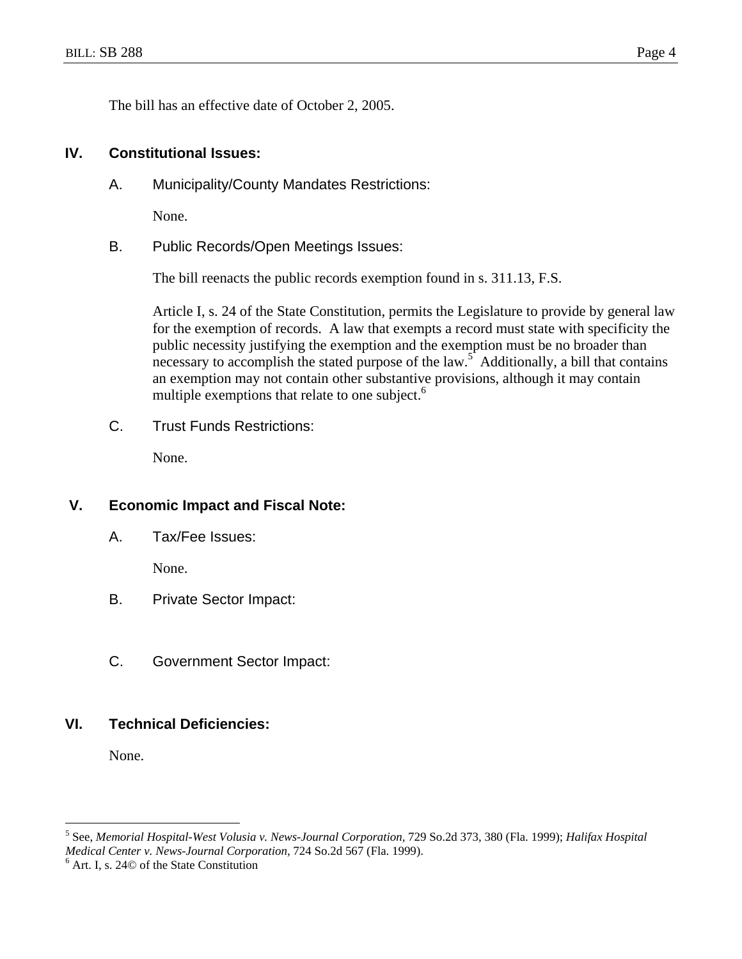The bill has an effective date of October 2, 2005.

#### **IV. Constitutional Issues:**

A. Municipality/County Mandates Restrictions:

None.

B. Public Records/Open Meetings Issues:

The bill reenacts the public records exemption found in s. 311.13, F.S.

Article I, s. 24 of the State Constitution, permits the Legislature to provide by general law for the exemption of records. A law that exempts a record must state with specificity the public necessity justifying the exemption and the exemption must be no broader than necessary to accomplish the stated purpose of the law.<sup>5</sup> Additionally, a bill that contains an exemption may not contain other substantive provisions, although it may contain multiple exemptions that relate to one subject.<sup>6</sup>

C. Trust Funds Restrictions:

None.

#### **V. Economic Impact and Fiscal Note:**

A. Tax/Fee Issues:

None.

- B. Private Sector Impact:
- C. Government Sector Impact:

#### **VI. Technical Deficiencies:**

None.

 $\overline{a}$ 

<sup>5</sup> See, *Memorial Hospital-West Volusia v. News-Journal Corporation,* 729 So.2d 373, 380 (Fla. 1999); *Halifax Hospital Medical Center v. News-Journal Corporation,* 724 So.2d 567 (Fla. 1999). 6

 $<sup>6</sup>$  Art. I, s. 24 $\odot$  of the State Constitution</sup>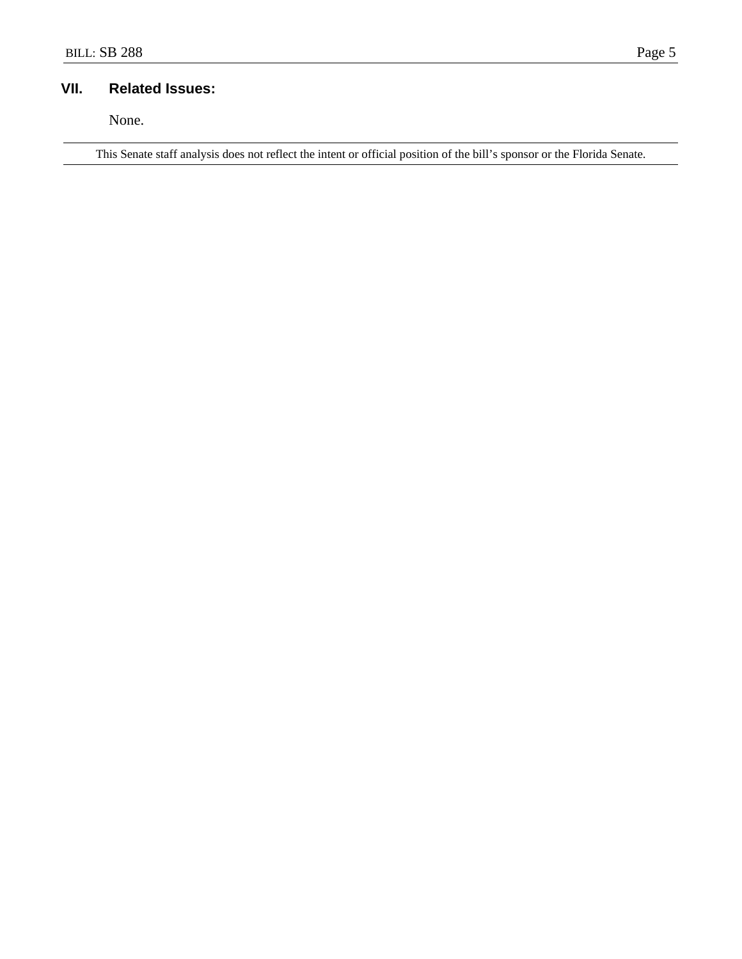### **VII. Related Issues:**

None.

This Senate staff analysis does not reflect the intent or official position of the bill's sponsor or the Florida Senate.